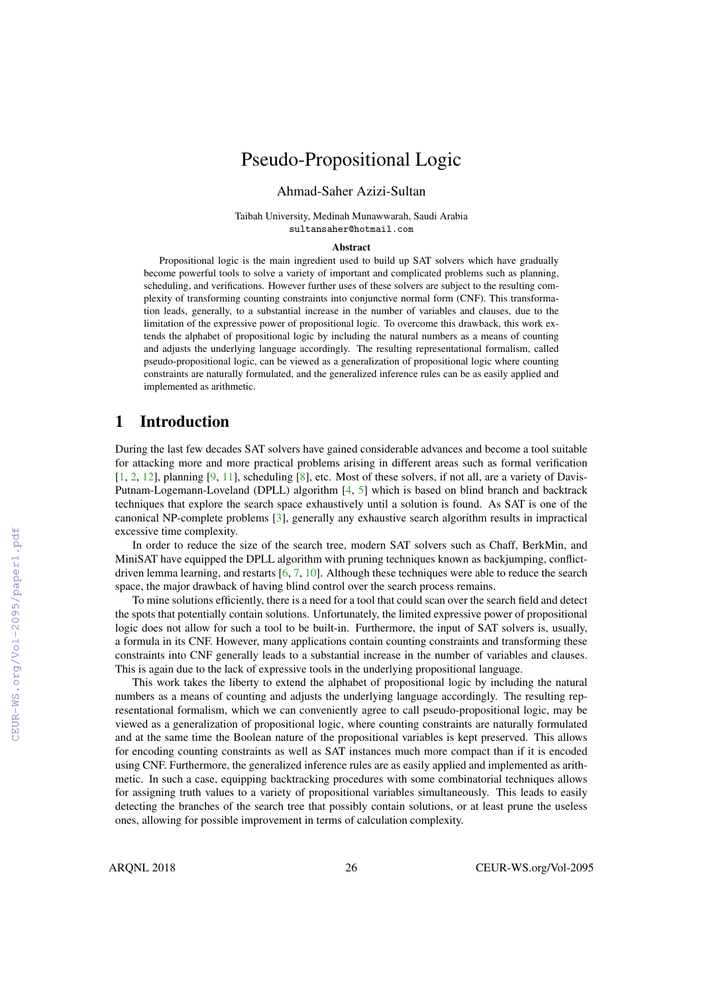# Pseudo-Propositional Logic

### Ahmad-Saher Azizi-Sultan

Taibah University, Medinah Munawwarah, Saudi Arabia sultansaher@hotmail.com

### Abstract

Propositional logic is the main ingredient used to build up SAT solvers which have gradually become powerful tools to solve a variety of important and complicated problems such as planning, scheduling, and verifications. However further uses of these solvers are subject to the resulting complexity of transforming counting constraints into conjunctive normal form (CNF). This transformation leads, generally, to a substantial increase in the number of variables and clauses, due to the limitation of the expressive power of propositional logic. To overcome this drawback, this work extends the alphabet of propositional logic by including the natural numbers as a means of counting and adjusts the underlying language accordingly. The resulting representational formalism, called pseudo-propositional logic, can be viewed as a generalization of propositional logic where counting constraints are naturally formulated, and the generalized inference rules can be as easily applied and implemented as arithmetic.

### 1 Introduction

During the last few decades SAT solvers have gained considerable advances and become a tool suitable for attacking more and more practical problems arising in different areas such as formal verification [1, 2, 12], planning [9, 11], scheduling [8], etc. Most of these solvers, if not all, are a variety of Davis-Putnam-Logemann-Loveland (DPLL) algorithm [4, 5] which is based on blind branch and backtrack techniques that explore the search space exhaustively until a solution is found. As SAT is one of the canonical NP-complete problems [3], generally any exhaustive search algorithm results in impractical excessive time complexity.

In order to reduce the size of the search tree, modern SAT solvers such as Chaff, BerkMin, and MiniSAT have equipped the DPLL algorithm with pruning techniques known as backjumping, conflictdriven lemma learning, and restarts [6, 7, 10]. Although these techniques were able to reduce the search space, the major drawback of having blind control over the search process remains.

To mine solutions efficiently, there is a need for a tool that could scan over the search field and detect the spots that potentially contain solutions. Unfortunately, the limited expressive power of propositional logic does not allow for such a tool to be built-in. Furthermore, the input of SAT solvers is, usually, a formula in its CNF. However, many applications contain counting constraints and transforming these constraints into CNF generally leads to a substantial increase in the number of variables and clauses. This is again due to the lack of expressive tools in the underlying propositional language.

This work takes the liberty to extend the alphabet of propositional logic by including the natural numbers as a means of counting and adjusts the underlying language accordingly. The resulting representational formalism, which we can conveniently agree to call pseudo-propositional logic, may be viewed as a generalization of propositional logic, where counting constraints are naturally formulated and at the same time the Boolean nature of the propositional variables is kept preserved. This allows for encoding counting constraints as well as SAT instances much more compact than if it is encoded using CNF. Furthermore, the generalized inference rules are as easily applied and implemented as arithmetic. In such a case, equipping backtracking procedures with some combinatorial techniques allows for assigning truth values to a variety of propositional variables simultaneously. This leads to easily detecting the branches of the search tree that possibly contain solutions, or at least prune the useless ones, allowing for possible improvement in terms of calculation complexity.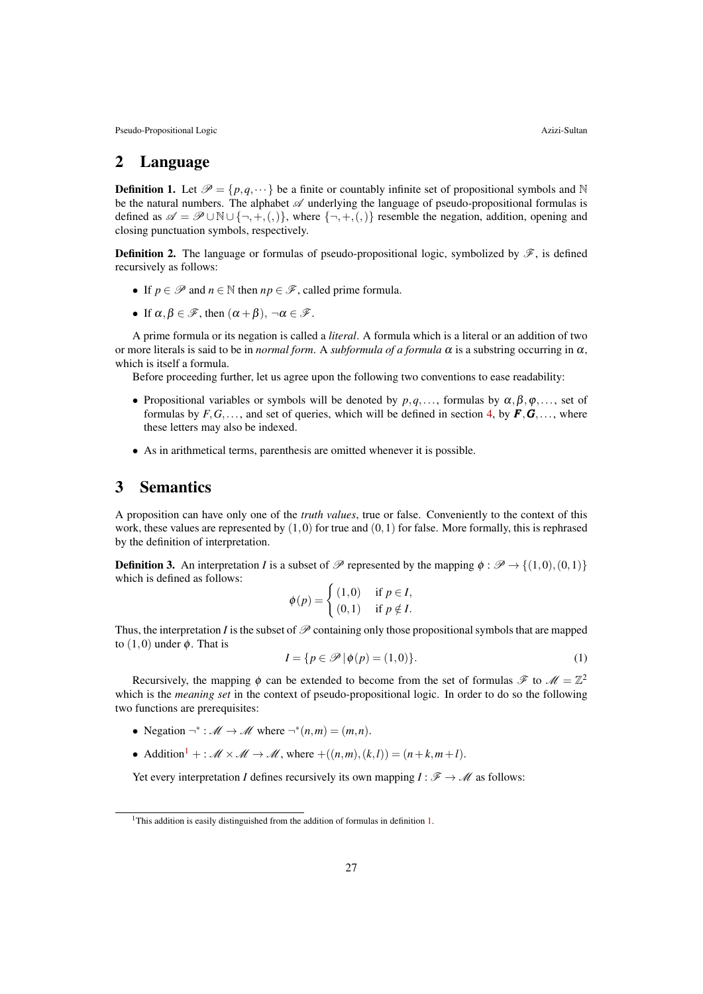### 2 Language

**Definition 1.** Let  $\mathcal{P} = \{p, q, \dots\}$  be a finite or countably infinite set of propositional symbols and N be the natural numbers. The alphabet  $\mathscr A$  underlying the language of pseudo-propositional formulas is defined as  $\mathscr{A} = \mathscr{P} \cup \mathbb{N} \cup \{\neg, +, (\cdot)\}\$ , where  $\{\neg, +, (\cdot)\}\$  resemble the negation, addition, opening and closing punctuation symbols, respectively.

**Definition 2.** The language or formulas of pseudo-propositional logic, symbolized by  $\mathscr{F}$ , is defined recursively as follows:

- If  $p \in \mathcal{P}$  and  $n \in \mathbb{N}$  then  $np \in \mathcal{F}$ , called prime formula.
- If  $\alpha, \beta \in \mathscr{F}$ , then  $(\alpha + \beta), \neg \alpha \in \mathscr{F}$ .

A prime formula or its negation is called a *literal*. A formula which is a literal or an addition of two or more literals is said to be in *normal form*. A *subformula of a formula*  $\alpha$  is a substring occurring in  $\alpha$ , which is itself a formula.

Before proceeding further, let us agree upon the following two conventions to ease readability:

- Propositional variables or symbols will be denoted by  $p, q, \ldots$ , formulas by  $\alpha, \beta, \varphi, \ldots$ , set of formulas by  $F, G, \ldots$ , and set of queries, which will be defined in section 4, by  $F, G, \ldots$ , where these letters may also be indexed.
- As in arithmetical terms, parenthesis are omitted whenever it is possible.

### 3 Semantics

A proposition can have only one of the *truth values*, true or false. Conveniently to the context of this work, these values are represented by  $(1,0)$  for true and  $(0,1)$  for false. More formally, this is rephrased by the definition of interpretation.

**Definition 3.** An interpretation *I* is a subset of  $\mathcal P$  represented by the mapping  $\phi : \mathcal P \to \{(1,0),(0,1)\}$ which is defined as follows:

$$
\phi(p) = \begin{cases} (1,0) & \text{if } p \in I, \\ (0,1) & \text{if } p \notin I. \end{cases}
$$

Thus, the interpretation *I* is the subset of  $\mathscr P$  containing only those propositional symbols that are mapped to  $(1,0)$  under  $\phi$ . That is

$$
I = \{ p \in \mathscr{P} \mid \phi(p) = (1, 0) \}. \tag{1}
$$

Recursively, the mapping  $\phi$  can be extended to become from the set of formulas  $\mathscr{F}$  to  $\mathscr{M} = \mathbb{Z}^2$ which is the *meaning set* in the context of pseudo-propositional logic. In order to do so the following two functions are prerequisites:

- Negation  $\neg^* : \mathcal{M} \to \mathcal{M}$  where  $\neg^*(n,m) = (m,n)$ .
- Addition<sup>1</sup> + :  $\mathcal{M} \times \mathcal{M} \rightarrow \mathcal{M}$ , where  $+(n,m),(k,l)) = (n+k,m+l)$ .

Yet every interpretation *I* defines recursively its own mapping  $I : \mathcal{F} \to \mathcal{M}$  as follows:

<sup>&</sup>lt;sup>1</sup>This addition is easily distinguished from the addition of formulas in definition 1.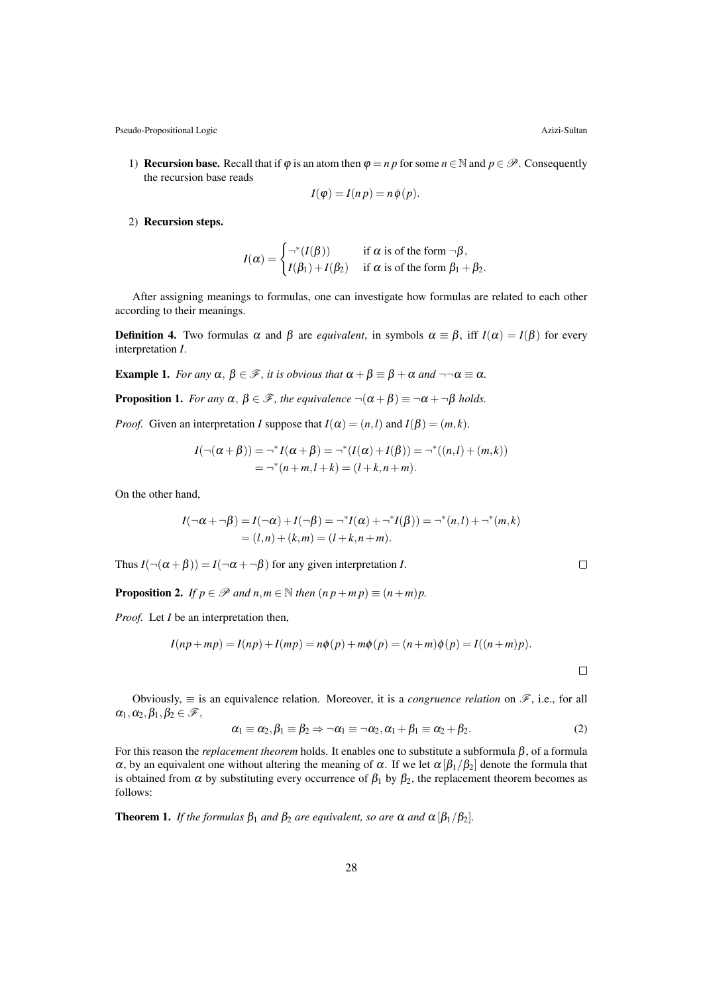1) **Recursion base.** Recall that if  $\varphi$  is an atom then  $\varphi = n p$  for some  $n \in \mathbb{N}$  and  $p \in \mathcal{P}$ . Consequently the recursion base reads

$$
I(\varphi) = I(n p) = n \varphi(p).
$$

2) Recursion steps.

$$
I(\alpha) = \begin{cases} \neg^*(I(\beta)) & \text{if } \alpha \text{ is of the form } \neg \beta, \\ I(\beta_1) + I(\beta_2) & \text{if } \alpha \text{ is of the form } \beta_1 + \beta_2. \end{cases}
$$

After assigning meanings to formulas, one can investigate how formulas are related to each other according to their meanings.

**Definition 4.** Two formulas  $\alpha$  and  $\beta$  are *equivalent*, in symbols  $\alpha \equiv \beta$ , iff  $I(\alpha) = I(\beta)$  for every interpretation *I*.

**Example 1.** *For any*  $\alpha$ ,  $\beta \in \mathcal{F}$ , *it is obvious that*  $\alpha + \beta \equiv \beta + \alpha$  *and*  $\neg \alpha \equiv \alpha$ *.* 

**Proposition 1.** *For any*  $\alpha$ ,  $\beta \in \mathcal{F}$ *, the equivalence*  $\neg(\alpha + \beta) \equiv \neg \alpha + \neg \beta$  *holds.* 

*Proof.* Given an interpretation *I* suppose that  $I(\alpha) = (n, l)$  and  $I(\beta) = (m, k)$ .

$$
I(\neg(\alpha + \beta)) = \neg^* I(\alpha + \beta) = \neg^* (I(\alpha) + I(\beta)) = \neg^* ((n, l) + (m, k))
$$
  
= 
$$
\neg^* (n + m, l + k) = (l + k, n + m).
$$

On the other hand,

$$
I(\neg \alpha + \neg \beta) = I(\neg \alpha) + I(\neg \beta) = \neg^*I(\alpha) + \neg^*I(\beta)) = \neg^*(n, l) + \neg^*(m, k)
$$
  
= (l, n) + (k, m) = (l + k, n + m).

Thus  $I(\neg(\alpha + \beta)) = I(\neg \alpha + \neg \beta)$  for any given interpretation *I*.

**Proposition 2.** *If*  $p \in \mathcal{P}$  *and*  $n, m \in \mathbb{N}$  *then*  $(n p + m p) \equiv (n + m)p$ .

*Proof.* Let *I* be an interpretation then,

$$
I(np + mp) = I(np) + I(mp) = n\phi(p) + m\phi(p) = (n + m)\phi(p) = I((n + m)p).
$$

Obviously,  $\equiv$  is an equivalence relation. Moreover, it is a *congruence relation* on  $\mathscr{F}$ , i.e., for all  $\alpha_1, \alpha_2, \beta_1, \beta_2 \in \mathscr{F},$ 

$$
\alpha_1 \equiv \alpha_2, \beta_1 \equiv \beta_2 \Rightarrow \neg \alpha_1 \equiv \neg \alpha_2, \alpha_1 + \beta_1 \equiv \alpha_2 + \beta_2. \tag{2}
$$

For this reason the *replacement theorem* holds. It enables one to substitute a subformula  $\beta$ , of a formula α, by an equivalent one without altering the meaning of α. If we let  $\alpha$  [β<sub>1</sub>/β<sub>2</sub>] denote the formula that is obtained from  $\alpha$  by substituting every occurrence of  $\beta_1$  by  $\beta_2$ , the replacement theorem becomes as follows:

**Theorem 1.** *If the formulas*  $\beta_1$  *and*  $\beta_2$  *are equivalent, so are*  $\alpha$  *and*  $\alpha$   $[\beta_1/\beta_2]$ *.* 

 $\Box$ 

 $\Box$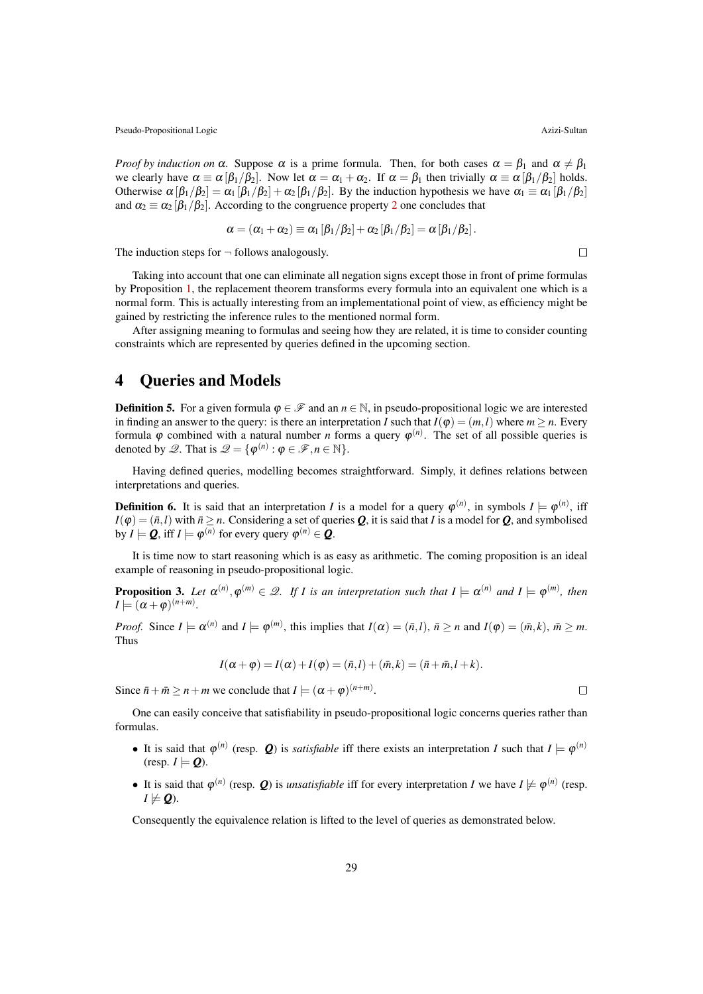*Proof by induction on*  $\alpha$ . Suppose  $\alpha$  is a prime formula. Then, for both cases  $\alpha = \beta_1$  and  $\alpha \neq \beta_1$ we clearly have  $\alpha \equiv \alpha [\beta_1/\beta_2]$ . Now let  $\alpha = \alpha_1 + \alpha_2$ . If  $\alpha = \beta_1$  then trivially  $\alpha \equiv \alpha [\beta_1/\beta_2]$  holds. Otherwise  $\alpha [\beta_1/\beta_2] = \alpha_1 [\beta_1/\beta_2] + \alpha_2 [\beta_1/\beta_2]$ . By the induction hypothesis we have  $\alpha_1 \equiv \alpha_1 [\beta_1/\beta_2]$ and  $\alpha_2 \equiv \alpha_2 [\beta_1/\beta_2]$ . According to the congruence property 2 one concludes that

$$
\alpha = (\alpha_1 + \alpha_2) \equiv \alpha_1 [\beta_1/\beta_2] + \alpha_2 [\beta_1/\beta_2] = \alpha [\beta_1/\beta_2].
$$

The induction steps for  $\neg$  follows analogously.

 $\Box$ 

Taking into account that one can eliminate all negation signs except those in front of prime formulas by Proposition 1, the replacement theorem transforms every formula into an equivalent one which is a normal form. This is actually interesting from an implementational point of view, as efficiency might be gained by restricting the inference rules to the mentioned normal form.

After assigning meaning to formulas and seeing how they are related, it is time to consider counting constraints which are represented by queries defined in the upcoming section.

### 4 Queries and Models

**Definition 5.** For a given formula  $\varphi \in \mathcal{F}$  and an  $n \in \mathbb{N}$ , in pseudo-propositional logic we are interested in finding an answer to the query: is there an interpretation *I* such that  $I(\varphi) = (m, l)$  where  $m > n$ . Every formula  $\varphi$  combined with a natural number *n* forms a query  $\varphi^{(n)}$ . The set of all possible queries is denoted by  $\mathscr{Q}$ . That is  $\mathscr{Q} = \{ \varphi^{(n)} : \varphi \in \mathscr{F}, n \in \mathbb{N} \}.$ 

Having defined queries, modelling becomes straightforward. Simply, it defines relations between interpretations and queries.

**Definition 6.** It is said that an interpretation *I* is a model for a query  $\varphi^{(n)}$ , in symbols  $I \models \varphi^{(n)}$ , iff  $I(\varphi) = (\bar{n}, l)$  with  $\bar{n} \ge n$ . Considering a set of queries *Q*, it is said that *I* is a model for *Q*, and symbolised by *I*  $\models$  *Q*, iff *I*  $\models$   $\varphi^{(n)}$  for every query  $\varphi^{(n)} \in \mathcal{Q}$ .

It is time now to start reasoning which is as easy as arithmetic. The coming proposition is an ideal example of reasoning in pseudo-propositional logic.

**Proposition 3.** Let  $\alpha^{(n)}, \varphi^{(m)} \in \mathcal{Q}$ . If I is an interpretation such that  $I \models \alpha^{(n)}$  and  $I \models \varphi^{(m)}$ , then  $I \models (\alpha + \varphi)^{(n+m)}$ .

*Proof.* Since  $I \models \alpha^{(n)}$  and  $I \models \varphi^{(m)}$ , this implies that  $I(\alpha) = (\bar{n}, l)$ ,  $\bar{n} \ge n$  and  $I(\varphi) = (\bar{m}, k)$ ,  $\bar{m} \ge m$ . Thus

$$
I(\alpha + \varphi) = I(\alpha) + I(\varphi) = (\bar{n}, l) + (\bar{m}, k) = (\bar{n} + \bar{m}, l + k).
$$

Since  $\bar{n} + \bar{m} \ge n + m$  we conclude that  $I \models (\alpha + \varphi)^{(n+m)}$ .

One can easily conceive that satisfiability in pseudo-propositional logic concerns queries rather than formulas.

- It is said that  $\varphi^{(n)}$  (resp. *Q*) is *satisfiable* iff there exists an interpretation *I* such that  $I \models \varphi^{(n)}$  $(r \text{essp. } I \models Q)$ .
- It is said that  $\varphi^{(n)}$  (resp. *Q*) is *unsatisfiable* iff for every interpretation *I* we have  $I \not\models \varphi^{(n)}$  (resp.  $I \not\models Q$ ).

Consequently the equivalence relation is lifted to the level of queries as demonstrated below.

 $\Box$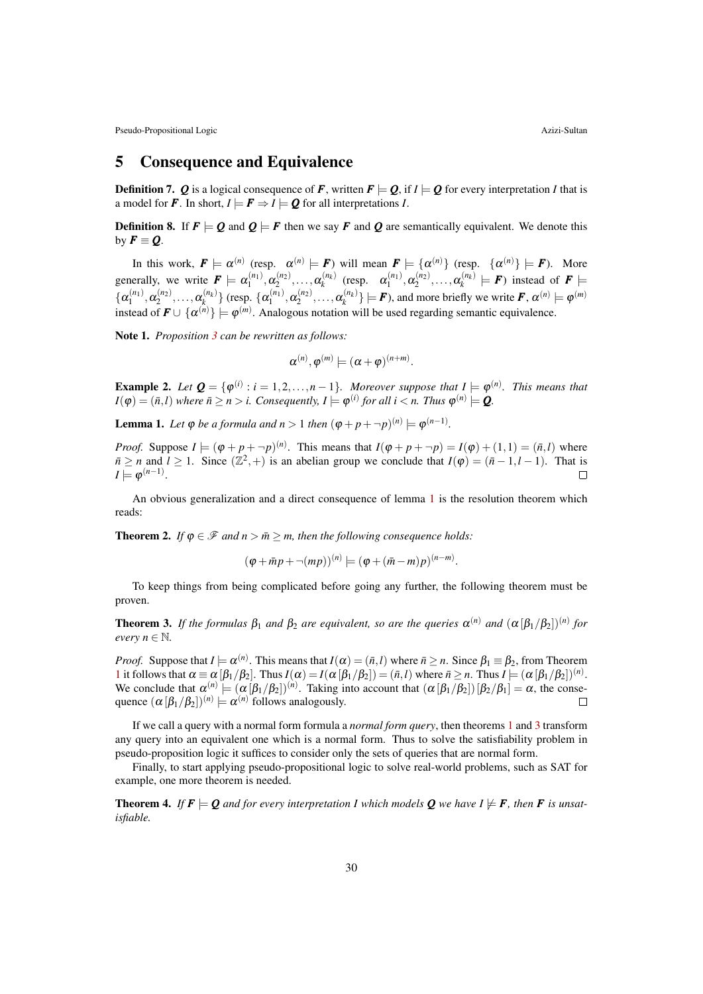### 5 Consequence and Equivalence

**Definition 7.** *Q* is a logical consequence of *F*, written  $F \models Q$ , if  $I \models Q$  for every interpretation *I* that is a model for **F**. In short,  $I \models \mathbf{F} \Rightarrow I \models \mathbf{Q}$  for all interpretations *I*.

**Definition 8.** If  $F \models Q$  and  $Q \models F$  then we say F and Q are semantically equivalent. We denote this by  $\mathbf{F} \equiv \mathbf{Q}$ .

In this work,  $\mathbf{F} \models \alpha^{(n)}$  (resp.  $\alpha^{(n)} \models \mathbf{F}$ ) will mean  $\mathbf{F} \models {\alpha^{(n)}}$  (resp.  ${\alpha^{(n)}} \models \mathbf{F}$ ). More generally, we write  $\mathbf{F} \models \alpha_1^{(n_1)}, \alpha_2^{(n_2)}, \dots, \alpha_k^{(n_k)}$  $\alpha_k^{(n_k)}$  (resp.  $\alpha_1^{(n_1)}, \alpha_2^{(n_2)}, \dots, \alpha_k^{(n_k)}$  $f_k^{(n_k)} \models F$  instead of  $F \models$  $\{\boldsymbol{\alpha}_1^{(n_1)},\boldsymbol{\alpha}_2^{(n_2)},\dots,\boldsymbol{\alpha}_{k}^{(n_k)}\}$  $\{\alpha_1^{(n_k)}\}$  (resp.  $\{\alpha_1^{(n_1)}, \alpha_2^{(n_2)}, \dots, \alpha_k^{(n_k)}\}$  $\{e^{(n_k)}\}$   $\models$  *F*), and more briefly we write *F*,  $\alpha^{(n)} \models \varphi^{(m)}$ instead of  $\mathbf{F} \cup \{ \alpha^{(n)} \} \models \varphi^{(m)}$ . Analogous notation will be used regarding semantic equivalence.

Note 1. *Proposition 3 can be rewritten as follows:*

$$
\alpha^{(n)}, \varphi^{(m)} \models (\alpha + \varphi)^{(n+m)}.
$$

**Example 2.** Let  $\mathbf{Q} = \{ \varphi^{(i)} : i = 1, 2, ..., n-1 \}$ . Moreover suppose that  $I \models \varphi^{(n)}$ . This means that  $I(\varphi) = (\bar{n}, l)$  where  $\bar{n} \ge n > i$ . Consequently,  $I \models \varphi^{(i)}$  for all  $i < n$ . Thus  $\varphi^{(n)} \models Q$ .

**Lemma 1.** Let  $\varphi$  be a formula and  $n > 1$  then  $(\varphi + p + \neg p)^{(n)} \models \varphi^{(n-1)}$ .

*Proof.* Suppose  $I \models (\varphi + p + \neg p)^{(n)}$ . This means that  $I(\varphi + p + \neg p) = I(\varphi) + (1,1) = (\bar{n},l)$  where  $\overline{n} \ge n$  and  $l \ge 1$ . Since  $(\mathbb{Z}^2, +)$  is an abelian group we conclude that  $I(\varphi) = (\overline{n} - 1, l - 1)$ . That is  $I \models \varphi^{(n-1)}$ .

An obvious generalization and a direct consequence of lemma 1 is the resolution theorem which reads:

**Theorem 2.** *If*  $\varphi \in \mathcal{F}$  *and n* >  $\bar{m}$  > *m, then the following consequence holds:* 

$$
(\varphi + \bar{m}p + \neg (mp))^{(n)} \models (\varphi + (\bar{m} - m)p)^{(n-m)}.
$$

To keep things from being complicated before going any further, the following theorem must be proven.

**Theorem 3.** If the formulas  $\beta_1$  and  $\beta_2$  are equivalent, so are the queries  $\alpha^{(n)}$  and  $(\alpha \beta_1/\beta_2)^{(n)}$  for *every*  $n \in \mathbb{N}$ *.* 

*Proof.* Suppose that  $I \models \alpha^{(n)}$ . This means that  $I(\alpha) = (\bar{n}, I)$  where  $\bar{n} \ge n$ . Since  $\beta_1 \equiv \beta_2$ , from Theorem 1 it follows that  $\alpha \equiv \alpha [\beta_1/\beta_2]$ . Thus  $I(\alpha) = I(\alpha [\beta_1/\beta_2]) = (\bar{n}, l)$  where  $\bar{n} \ge n$ . Thus  $I = (\alpha [\beta_1/\beta_2])^{(n)}$ . We conclude that  $\alpha^{(n)} \models (\alpha [\beta_1/\beta_2])^{(n)}$ . Taking into account that  $(\alpha [\beta_1/\beta_2]) [\beta_2/\beta_1] = \alpha$ , the consequence  $(\alpha [\beta_1/\beta_2])^{(n)} \models \alpha^{(n)}$  follows analogously.

If we call a query with a normal form formula a *normal form query*, then theorems 1 and 3 transform any query into an equivalent one which is a normal form. Thus to solve the satisfiability problem in pseudo-proposition logic it suffices to consider only the sets of queries that are normal form.

Finally, to start applying pseudo-propositional logic to solve real-world problems, such as SAT for example, one more theorem is needed.

**Theorem 4.** If  $F \models Q$  and for every interpretation I which models Q we have  $I \not\models F$ , then F is unsat*isfiable.*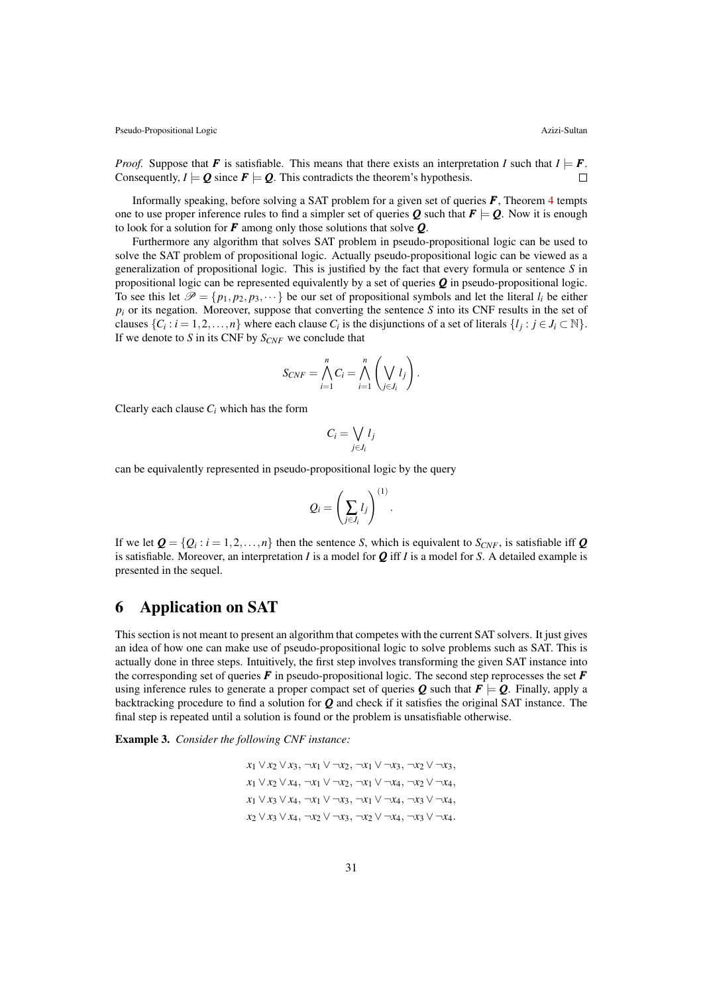*Proof.* Suppose that *F* is satisfiable. This means that there exists an interpretation *I* such that  $I \models F$ .<br>Consequently  $I \models O$  since  $F \models O$ . This contradicts the theorem's hypothesis Consequently,  $I \models Q$  since  $F \models Q$ . This contradicts the theorem's hypothesis.

Informally speaking, before solving a SAT problem for a given set of queries *F*, Theorem 4 tempts one to use proper inference rules to find a simpler set of queries **Q** such that  $F \models Q$ . Now it is enough to look for a solution for *F* among only those solutions that solve *Q*.

Furthermore any algorithm that solves SAT problem in pseudo-propositional logic can be used to solve the SAT problem of propositional logic. Actually pseudo-propositional logic can be viewed as a generalization of propositional logic. This is justified by the fact that every formula or sentence *S* in propositional logic can be represented equivalently by a set of queries *Q* in pseudo-propositional logic. To see this let  $\mathcal{P} = \{p_1, p_2, p_3, \dots\}$  be our set of propositional symbols and let the literal  $l_i$  be either  $p_i$  or its negation. Moreover, suppose that converting the sentence *S* into its CNF results in the set of clauses  $\{C_i : i = 1, 2, \ldots, n\}$  where each clause  $C_i$  is the disjunctions of a set of literals  $\{l_j : j \in J_i \subset \mathbb{N}\}\.$ If we denote to *S* in its CNF by *SCNF* we conclude that

$$
S_{CNF} = \bigwedge_{i=1}^{n} C_i = \bigwedge_{i=1}^{n} \left(\bigvee_{j \in J_i} l_j\right).
$$

Clearly each clause  $C_i$  which has the form

$$
C_i = \bigvee_{j \in J_i} l_j
$$

can be equivalently represented in pseudo-propositional logic by the query

$$
Q_i = \left(\sum_{j\in J_i} l_j\right)^{(1)}.
$$

If we let  $\mathbf{Q} = \{Q_i : i = 1, 2, ..., n\}$  then the sentence *S*, which is equivalent to *S<sub>CNF</sub>*, is satisfiable iff  $\mathbf{Q}$ is satisfiable. Moreover, an interpretation *I* is a model for  $Q$  iff *I* is a model for *S*. A detailed example is presented in the sequel.

### 6 Application on SAT

This section is not meant to present an algorithm that competes with the current SAT solvers. It just gives an idea of how one can make use of pseudo-propositional logic to solve problems such as SAT. This is actually done in three steps. Intuitively, the first step involves transforming the given SAT instance into the corresponding set of queries  $\vec{F}$  in pseudo-propositional logic. The second step reprocesses the set  $\vec{F}$ using inference rules to generate a proper compact set of queries  $Q$  such that  $F \models Q$ . Finally, apply a backtracking procedure to find a solution for *Q* and check if it satisfies the original SAT instance. The final step is repeated until a solution is found or the problem is unsatisfiable otherwise.

Example 3. *Consider the following CNF instance:*

$$
x_1 \vee x_2 \vee x_3, \neg x_1 \vee \neg x_2, \neg x_1 \vee \neg x_3, \neg x_2 \vee \neg x_3, x_1 \vee x_2 \vee x_4, \neg x_1 \vee \neg x_2, \neg x_1 \vee \neg x_4, \neg x_2 \vee \neg x_4, x_1 \vee x_3 \vee x_4, \neg x_1 \vee \neg x_3, \neg x_1 \vee \neg x_4, \neg x_3 \vee \neg x_4, x_2 \vee x_3 \vee x_4, \neg x_2 \vee \neg x_3, \neg x_2 \vee \neg x_4, \neg x_3 \vee \neg x_4.
$$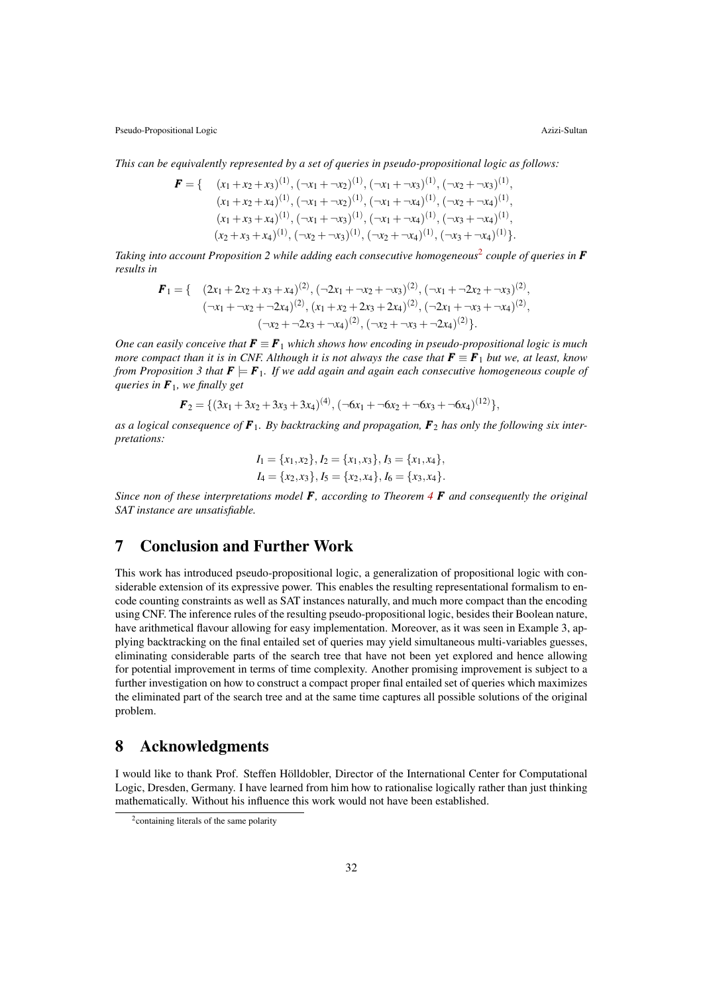*This can be equivalently represented by a set of queries in pseudo-propositional logic as follows:*

$$
\mathbf{F} = \{ \begin{array}{c} (x_1 + x_2 + x_3)^{(1)}, (\neg x_1 + \neg x_2)^{(1)}, (\neg x_1 + \neg x_3)^{(1)}, (\neg x_2 + \neg x_3)^{(1)}, \\ (x_1 + x_2 + x_4)^{(1)}, (\neg x_1 + \neg x_2)^{(1)}, (\neg x_1 + \neg x_4)^{(1)}, (\neg x_2 + \neg x_4)^{(1)}, \\ (x_1 + x_3 + x_4)^{(1)}, (\neg x_1 + \neg x_3)^{(1)}, (\neg x_1 + \neg x_4)^{(1)}, (\neg x_3 + \neg x_4)^{(1)}, \\ (x_2 + x_3 + x_4)^{(1)}, (\neg x_2 + \neg x_3)^{(1)}, (\neg x_2 + \neg x_4)^{(1)}, (\neg x_3 + \neg x_4)^{(1)} \}.\end{array}
$$

*Taking into account Proposition 2 while adding each consecutive homogeneous*<sup>2</sup> *couple of queries in F results in*

$$
\mathbf{F}_1 = \{ (2x_1 + 2x_2 + x_3 + x_4)^{(2)}, (-2x_1 + \neg x_2 + \neg x_3)^{(2)}, (-x_1 + \neg 2x_2 + \neg x_3)^{(2)},
$$
  

$$
(\neg x_1 + \neg x_2 + \neg 2x_4)^{(2)}, (x_1 + x_2 + 2x_3 + 2x_4)^{(2)}, (-2x_1 + \neg x_3 + \neg x_4)^{(2)},
$$
  

$$
(\neg x_2 + \neg 2x_3 + \neg x_4)^{(2)}, (\neg x_2 + \neg x_3 + \neg 2x_4)^{(2)} \}.
$$

*One can easily conceive that*  $\mathbf{F} \equiv \mathbf{F}_1$  *which shows how encoding in pseudo-propositional logic is much more compact than it is in CNF. Although it is not always the case that*  $\mathbf{F} \equiv \mathbf{F}_1$  *but we, at least, know from Proposition 3 that*  $\mathbf{F} \models \mathbf{F}_1$ . *If we add again and again each consecutive homogeneous couple of queries in F*1*, we finally get*

$$
\boldsymbol{F}_2 = \{ (3x_1 + 3x_2 + 3x_3 + 3x_4)^{(4)}, (\neg 6x_1 + \neg 6x_2 + \neg 6x_3 + \neg 6x_4)^{(12)} \},
$$

*as a logical consequence of F*1*. By backtracking and propagation, F*<sup>2</sup> *has only the following six interpretations:*

$$
I_1 = \{x_1, x_2\}, I_2 = \{x_1, x_3\}, I_3 = \{x_1, x_4\},
$$
  

$$
I_4 = \{x_2, x_3\}, I_5 = \{x_2, x_4\}, I_6 = \{x_3, x_4\}.
$$

*Since non of these interpretations model F, according to Theorem 4 F and consequently the original SAT instance are unsatisfiable.*

## 7 Conclusion and Further Work

This work has introduced pseudo-propositional logic, a generalization of propositional logic with considerable extension of its expressive power. This enables the resulting representational formalism to encode counting constraints as well as SAT instances naturally, and much more compact than the encoding using CNF. The inference rules of the resulting pseudo-propositional logic, besides their Boolean nature, have arithmetical flavour allowing for easy implementation. Moreover, as it was seen in Example 3, applying backtracking on the final entailed set of queries may yield simultaneous multi-variables guesses, eliminating considerable parts of the search tree that have not been yet explored and hence allowing for potential improvement in terms of time complexity. Another promising improvement is subject to a further investigation on how to construct a compact proper final entailed set of queries which maximizes the eliminated part of the search tree and at the same time captures all possible solutions of the original problem.

### 8 Acknowledgments

I would like to thank Prof. Steffen Holldobler, Director of the International Center for Computational ¨ Logic, Dresden, Germany. I have learned from him how to rationalise logically rather than just thinking mathematically. Without his influence this work would not have been established.

<sup>&</sup>lt;sup>2</sup> containing literals of the same polarity